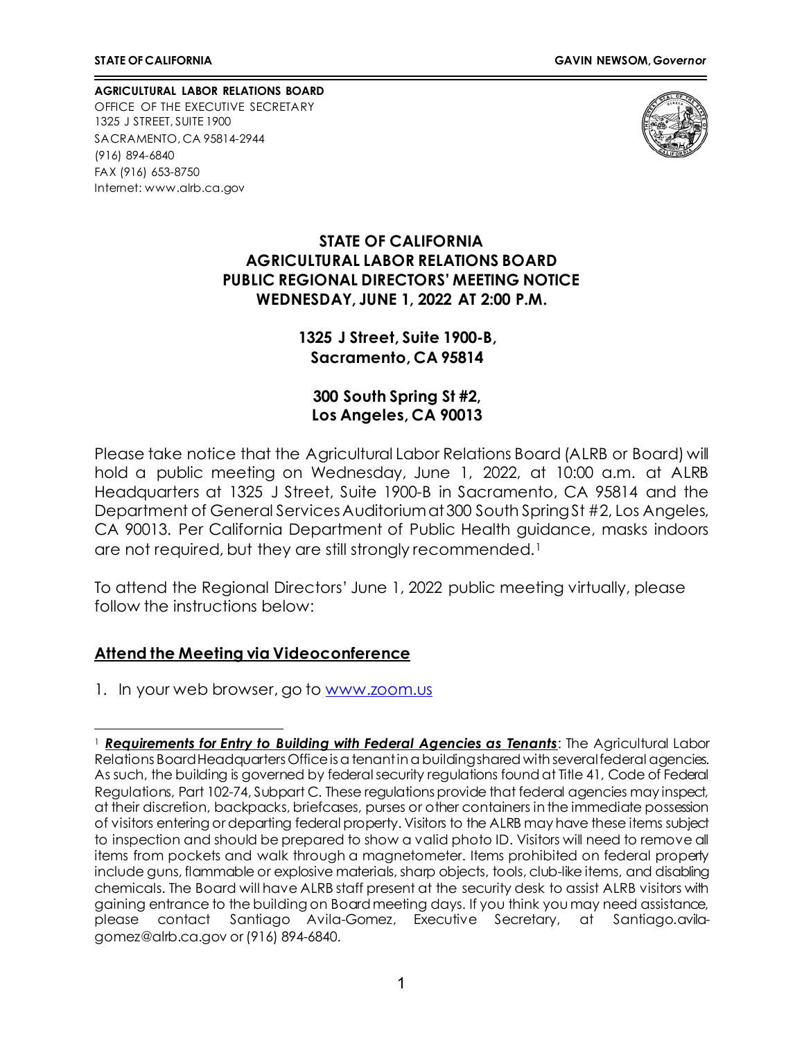**AGRICULTURAL LABOR RELATIONS BOARD** OFFICE OF THE EXECUTIVE SECRETARY 1325 J STREET, SUITE 1900 SACRAMENTO, CA 95814-2944 (916) 894-6840 FAX (916) 653-8750 Internet[: www.alrb.ca.gov](http://www.alrb.ca.gov/)



#### **STATE OF CALIFORNIA AGRICULTURAL LABOR RELATIONS BOARD PUBLIC REGIONAL DIRECTORS' MEETING NOTICE WEDNESDAY, JUNE 1, 2022 AT 2:00 P.M.**

**1325 J Street, Suite 1900-B, Sacramento, CA 95814**

**300 South Spring St #2, Los Angeles, CA 90013**

Please take notice that the Agricultural Labor Relations Board (ALRB or Board) will hold a public meeting on Wednesday, June 1, 2022, at 10:00 a.m. at ALRB Headquarters at 1325 J Street, Suite 1900-B in Sacramento, CA 95814 and the Department of General Services Auditorium at 300 South Spring St #2, Los Angeles, CA 90013. Per California Department of Public Health guidance, masks indoors are not required, but they are still strongly recommended.<sup>[1](#page-0-0)</sup>

To attend the Regional Directors' June 1, 2022 public meeting virtually, please follow the instructions below:

#### **Attend the Meeting via Videoconference**

1. In your web browser, go to www.zoom.us

<span id="page-0-0"></span><sup>1</sup> *Requirements for Entry to Building with Federal Agencies as Tenants*: The Agricultural Labor Relations Board Headquarters Office is a tenant in a building shared with several federal agencies. As such, the building is governed by federal security regulations found at Title 41, Code of Federal Regulations, Part 102-74, Subpart C. These regulations provide that federal agencies may inspect, at their discretion, backpacks, briefcases, purses or other containers in the immediate possession of visitors entering or departing federal property. Visitors to the ALRB may have these items subject to inspection and should be prepared to show a valid photo ID. Visitors will need to remove all items from pockets and walk through a magnetometer. Items prohibited on federal property include guns, flammable or explosive materials, sharp objects, tools, club-like items, and disabling chemicals. The Board will have ALRB staff present at the security desk to assist ALRB visitors with gaining entrance to the building on Board meeting days. If you think you may need assistance, please contact Santiago Avila-Gomez, Executive Secretary, at Santiago.avilagomez@alrb.ca.gov or (916) 894-6840.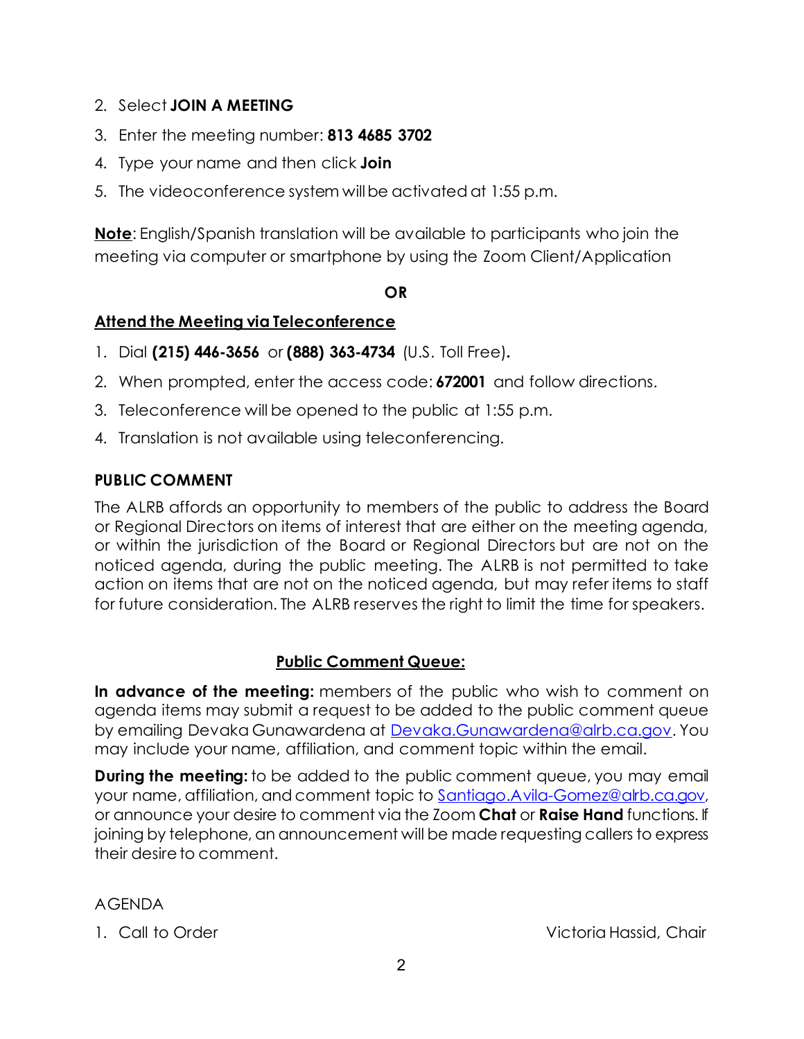- 2. Select **JOIN A MEETING**
- 3. Enter the meeting number: **813 4685 3702**
- 4. Type your name and then click **Join**
- 5. The videoconference system willbe activated at 1:55 p.m.

**Note**: English/Spanish translation will be available to participants who join the meeting via computer or smartphone by using the Zoom Client/Application

## **OR**

## **Attend the Meeting via Teleconference**

- 1. Dial **(215) 446-3656** or **(888) 363-4734** (U.S. Toll Free)**.**
- 2. When prompted, enter the access code: **672001** and follow directions.
- 3. Teleconference will be opened to the public at 1:55 p.m.
- 4. Translation is not available using teleconferencing.

# **PUBLIC COMMENT**

The ALRB affords an opportunity to members of the public to address the Board or Regional Directors on items of interest that are either on the meeting agenda, or within the jurisdiction of the Board or Regional Directors but are not on the noticed agenda, during the public meeting. The ALRB is not permitted to take action on items that are not on the noticed agenda, but may refer items to staff for future consideration. The ALRB reserves the right to limit the time for speakers.

## **Public Comment Queue:**

**In advance of the meeting:** members of the public who wish to comment on agenda items may submit a request to be added to the public comment queue by emailing Devaka Gunawardena at [Devaka.Gunawardena@alrb.ca.gov.](mailto:Devaka.Gunawardena@alrb.ca.gov) You may include your name, affiliation, and comment topic within the email.

**During the meeting:** to be added to the public comment queue, you may email your name, affiliation, and comment topic to Santiago. A vila-Gomez@alrb.ca.gov, or announce your desire to comment via the Zoom **Chat** or **Raise Hand** functions. If joining by telephone, an announcement will be made requesting callers to express their desire to comment.

## AGENDA

1. Call to Order Victoria Hassid, Chair